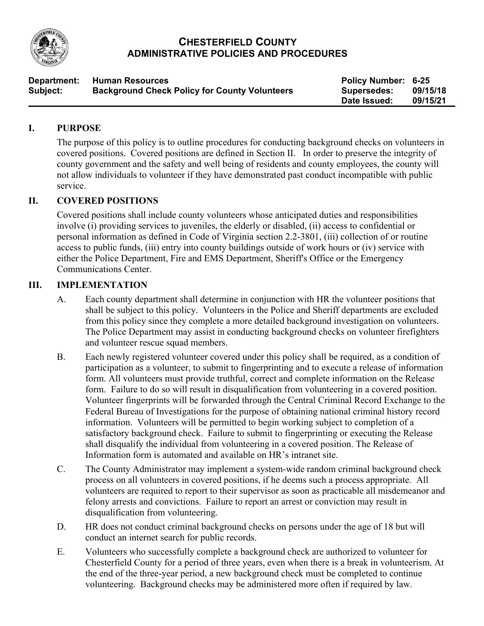

### **CHESTERFIELD COUNTY ADMINISTRATIVE POLICIES AND PROCEDURES**

| Department: | <b>Human Resources</b>                               | <b>Policy Number: 6-25</b> | 09/15/18 |
|-------------|------------------------------------------------------|----------------------------|----------|
| Subject:    | <b>Background Check Policy for County Volunteers</b> | Supersedes:                |          |
|             |                                                      | Date Issued:               | 09/15/21 |

#### **I. PURPOSE**

The purpose of this policy is to outline procedures for conducting background checks on volunteers in covered positions. Covered positions are defined in Section II. In order to preserve the integrity of county government and the safety and well being of residents and county employees, the county will not allow individuals to volunteer if they have demonstrated past conduct incompatible with public service.

### **II. COVERED POSITIONS**

Covered positions shall include county volunteers whose anticipated duties and responsibilities involve (i) providing services to juveniles, the elderly or disabled, (ii) access to confidential or personal information as defined in Code of Virginia section 2.2-3801, (iii) collection of or routine access to public funds, (iii) entry into county buildings outside of work hours or (iv) service with either the Police Department, Fire and EMS Department, Sheriff's Office or the Emergency Communications Center.

#### **III. IMPLEMENTATION**

- A. Each county department shall determine in conjunction with HR the volunteer positions that shall be subject to this policy. Volunteers in the Police and Sheriff departments are excluded from this policy since they complete a more detailed background investigation on volunteers. The Police Department may assist in conducting background checks on volunteer firefighters and volunteer rescue squad members.
- B. Each newly registered volunteer covered under this policy shall be required, as a condition of participation as a volunteer, to submit to fingerprinting and to execute a release of information form. All volunteers must provide truthful, correct and complete information on the Release form. Failure to do so will result in disqualification from volunteering in a covered position. Volunteer fingerprints will be forwarded through the Central Criminal Record Exchange to the Federal Bureau of Investigations for the purpose of obtaining national criminal history record information. Volunteers will be permitted to begin working subject to completion of a satisfactory background check. Failure to submit to fingerprinting or executing the Release shall disqualify the individual from volunteering in a covered position. The [Release of](http://atlanta/countynetportal/DesktopDefault.aspx?tabindex=4&tabid=22&deptpage=3663) [Information](http://atlanta/countynetportal/DesktopDefault.aspx?tabindex=4&tabid=22&deptpage=3663) form is automated and available on HR's intranet site.
- C. The County Administrator may implement a system-wide random criminal background check process on all volunteers in covered positions, if he deems such a process appropriate. All volunteers are required to report to their supervisor as soon as practicable all misdemeanor and felony arrests and convictions. Failure to report an arrest or conviction may result in disqualification from volunteering.
- D. HR does not conduct criminal background checks on persons under the age of 18 but will conduct an internet search for public records.
- E. Volunteers who successfully complete a background check are authorized to volunteer for Chesterfield County for a period of three years, even when there is a break in volunteerism. At the end of the three-year period, a new background check must be completed to continue volunteering. Background checks may be administered more often if required by law.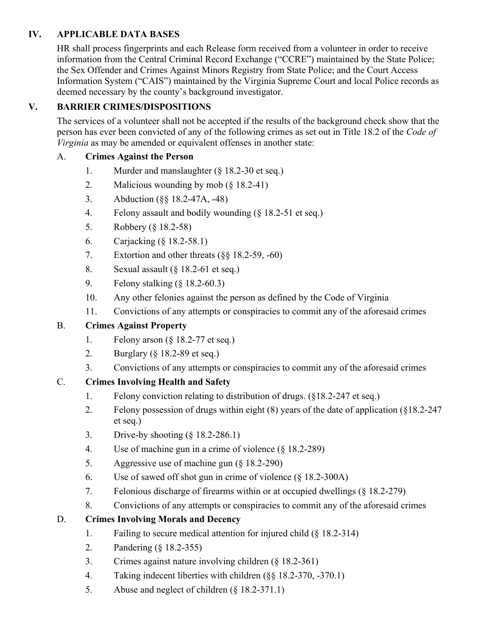## **IV. APPLICABLE DATA BASES**

HR shall process fingerprints and each Release form received from a volunteer in order to receive information from the Central Criminal Record Exchange ("CCRE") maintained by the State Police; the Sex Offender and Crimes Against Minors Registry from State Police; and the Court Access Information System ("CAIS") maintained by the Virginia Supreme Court and local Police records as deemed necessary by the county's background investigator.

# **V. BARRIER CRIMES/DISPOSITIONS**

The services of a volunteer shall not be accepted if the results of the background check show that the person has ever been convicted of any of the following crimes as set out in Title 18.2 of the *Code of Virginia* as may be amended or equivalent offenses in another state:

## A. **Crimes Against the Person**

- 1. Murder and manslaughter (§ 18.2-30 et seq.)
- 2. Malicious wounding by mob (§ 18.2-41)
- 3. Abduction (§§ 18.2-47A, -48)
- 4. Felony assault and bodily wounding (§ 18.2-51 et seq.)
- 5. Robbery (§ 18.2-58)
- 6. Carjacking (§ 18.2-58.1)
- 7. Extortion and other threats (§§ 18.2-59, -60)
- 8. Sexual assault (§ 18.2-61 et seq.)
- 9. Felony stalking (§ 18.2-60.3)
- 10. Any other felonies against the person as defined by the Code of Virginia
- 11. Convictions of any attempts or conspiracies to commit any of the aforesaid crimes

### B. **Crimes Against Property**

- 1. Felony arson (§ 18.2-77 et seq.)
- 2. Burglary (§ 18.2-89 et seq.)
- 3. Convictions of any attempts or conspiracies to commit any of the aforesaid crimes

# C. **Crimes Involving Health and Safety**

- 1. Felony conviction relating to distribution of drugs. (§18.2-247 et seq.)
- 2. Felony possession of drugs within eight (8) years of the date of application (§18.2-247 et seq.)
- 3. Drive-by shooting (§ 18.2-286.1)
- 4. Use of machine gun in a crime of violence (§ 18.2-289)
- 5. Aggressive use of machine gun (§ 18.2-290)
- 6. Use of sawed off shot gun in crime of violence (§ 18.2-300A)
- 7. Felonious discharge of firearms within or at occupied dwellings (§ 18.2-279)
- 8. Convictions of any attempts or conspiracies to commit any of the aforesaid crimes

# D. **Crimes Involving Morals and Decency**

- 1. Failing to secure medical attention for injured child (§ 18.2-314)
- 2. Pandering (§ 18.2-355)
- 3. Crimes against nature involving children (§ 18.2-361)
- 4. Taking indecent liberties with children (§§ 18.2-370, -370.1)
- 5. Abuse and neglect of children (§ 18.2-371.1)